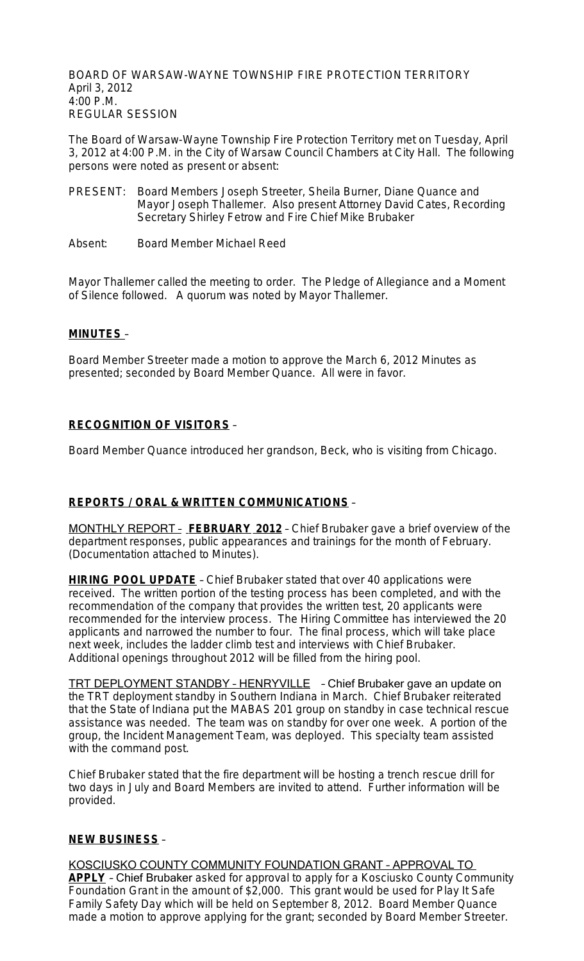BOARD OF WARSAW-WAYNE TOWNSHIP FIRE PROTECTION TERRITORY April 3, 2012 4:00 P.M. REGULAR SESSION

The Board of Warsaw-Wayne Township Fire Protection Territory met on Tuesday, April 3, 2012 at 4:00 P.M. in the City of Warsaw Council Chambers at City Hall. The following persons were noted as present or absent:

- PRESENT: Board Members Joseph Streeter, Sheila Burner, Diane Quance and Mayor Joseph Thallemer. Also present Attorney David Cates, Recording Secretary Shirley Fetrow and Fire Chief Mike Brubaker
- Absent: Board Member Michael Reed

Mayor Thallemer called the meeting to order. The Pledge of Allegiance and a Moment of Silence followed. A quorum was noted by Mayor Thallemer.

## **MINUTES** –

Board Member Streeter made a motion to approve the March 6, 2012 Minutes as presented; seconded by Board Member Quance. All were in favor.

### **RECOGNITION OF VISITORS** –

Board Member Quance introduced her grandson, Beck, who is visiting from Chicago.

## **REPORTS / ORAL & WRITTEN COMMUNICATIONS** –

MONTHLY REPORT – **FEBRUARY 2012** – Chief Brubaker gave a brief overview of the department responses, public appearances and trainings for the month of February. (Documentation attached to Minutes).

**HIRING POOL UPDATE** – Chief Brubaker stated that over 40 applications were received. The written portion of the testing process has been completed, and with the recommendation of the company that provides the written test, 20 applicants were recommended for the interview process. The Hiring Committee has interviewed the 20 applicants and narrowed the number to four. The final process, which will take place next week, includes the ladder climb test and interviews with Chief Brubaker. Additional openings throughout 2012 will be filled from the hiring pool.

TRT DEPLOYMENT STANDBY – HENRYVILLE – Chief Brubaker gave an update on the TRT deployment standby in Southern Indiana in March. Chief Brubaker reiterated that the State of Indiana put the MABAS 201 group on standby in case technical rescue assistance was needed. The team was on standby for over one week. A portion of the group, the Incident Management Team, was deployed. This specialty team assisted with the command post.

Chief Brubaker stated that the fire department will be hosting a trench rescue drill for two days in July and Board Members are invited to attend. Further information will be provided.

#### **NEW BUSINESS** –

KOSCIUSKO COUNTY COMMUNITY FOUNDATION GRANT – APPROVAL TO **APPLY** – Chief Brubaker asked for approval to apply for a Kosciusko County Community Foundation Grant in the amount of \$2,000. This grant would be used for Play It Safe Family Safety Day which will be held on September 8, 2012. Board Member Quance made a motion to approve applying for the grant; seconded by Board Member Streeter.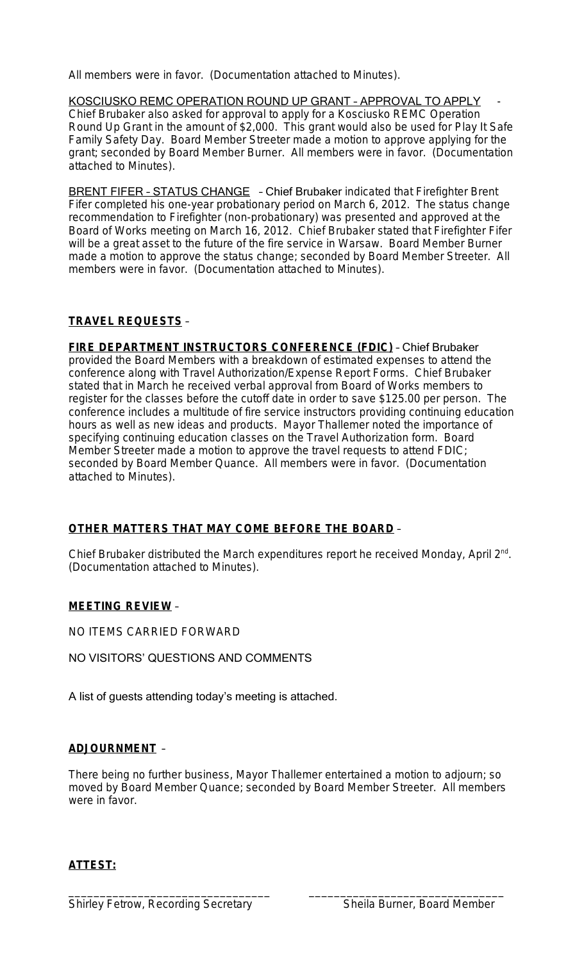All members were in favor. (Documentation attached to Minutes).

KOSCIUSKO REMC OPERATION ROUND UP GRANT - APPROVAL TO APPLY Chief Brubaker also asked for approval to apply for a Kosciusko REMC Operation Round Up Grant in the amount of \$2,000. This grant would also be used for Play It Safe Family Safety Day. Board Member Streeter made a motion to approve applying for the grant; seconded by Board Member Burner. All members were in favor. (Documentation attached to Minutes).

BRENT FIFER - STATUS CHANGE - Chief Brubaker indicated that Firefighter Brent Fifer completed his one-year probationary period on March 6, 2012. The status change recommendation to Firefighter (non-probationary) was presented and approved at the Board of Works meeting on March 16, 2012. Chief Brubaker stated that Firefighter Fifer will be a great asset to the future of the fire service in Warsaw. Board Member Burner made a motion to approve the status change; seconded by Board Member Streeter. All members were in favor. (Documentation attached to Minutes).

# **TRAVEL REQUESTS** –

**FIRE DEPARTMENT INSTRUCTORS CONFERENCE (FDIC)** – Chief Brubaker provided the Board Members with a breakdown of estimated expenses to attend the conference along with Travel Authorization/Expense Report Forms. Chief Brubaker stated that in March he received verbal approval from Board of Works members to register for the classes before the cutoff date in order to save \$125.00 per person. The conference includes a multitude of fire service instructors providing continuing education hours as well as new ideas and products. Mayor Thallemer noted the importance of specifying continuing education classes on the Travel Authorization form. Board Member Streeter made a motion to approve the travel requests to attend FDIC; seconded by Board Member Quance. All members were in favor. (Documentation attached to Minutes).

# **OTHER MATTERS THAT MAY COME BEFORE THE BOARD** –

Chief Brubaker distributed the March expenditures report he received Monday, April 2<sup>nd</sup>. (Documentation attached to Minutes).

# **MEETING REVIEW** –

NO ITEMS CARRIED FORWARD

NO VISITORS' QUESTIONS AND COMMENTS

A list of guests attending today's meeting is attached.

# **ADJOURNMENT** –

There being no further business, Mayor Thallemer entertained a motion to adjourn; so moved by Board Member Quance; seconded by Board Member Streeter. All members were in favor.

\_\_\_\_\_\_\_\_\_\_\_\_\_\_\_\_\_\_\_\_\_\_\_\_\_\_\_\_\_\_\_\_ \_\_\_\_\_\_\_\_\_\_\_\_\_\_\_\_\_\_\_\_\_\_\_\_\_\_\_\_\_\_\_

# **ATTEST:**